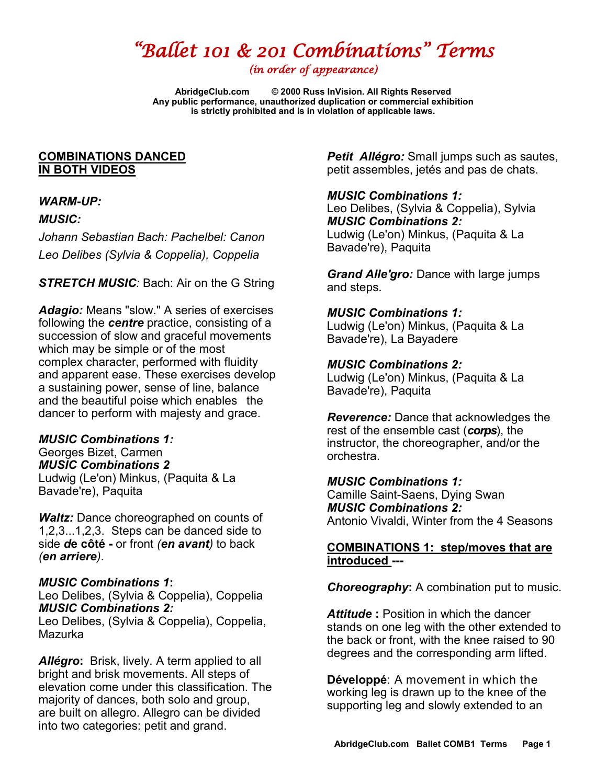# *"Ballet 101 & 201 Combinations" Terms*

*(in order of appearance)* 

**AbridgeClub.com © 2000 Russ InVision. All Rights Reserved Any public performance, unauthorized duplication or commercial exhibition is strictly prohibited and is in violation of applicable laws.**

## **COMBINATIONS DANCED IN BOTH VIDEOS**

# *WARM-UP:*

## *MUSIC:*

*Johann Sebastian Bach: Pachelbel: Canon Leo Delibes (Sylvia & Coppelia), Coppelia*

*STRETCH MUSIC:* Bach: Air on the G String

*Adagio:* Means "slow." A series of exercises following the *centre* practice, consisting of a succession of slow and graceful movements which may be simple or of the most complex character, performed with fluidity and apparent ease. These exercises develop a sustaining power, sense of line, balance and the beautiful poise which enables the dancer to perform with majesty and grace.

# *MUSIC Combinations 1:*

Georges Bizet, Carmen *MUSIC Combinations 2* Ludwig (Le'on) Minkus, (Paquita & La Bavade're), Paquita

*Waltz:* Dance choreographed on counts of 1,2,3...1,2,3. Steps can be danced side to side *d***[e côté](http://www.balletterms.net/de-cote) -** or front *(en avant)* to back *(en arriere)*.

## *MUSIC Combinations 1***:**

Leo Delibes, (Sylvia & Coppelia), Coppelia *MUSIC Combinations 2:*

Leo Delibes, (Sylvia & Coppelia), Coppelia, Mazurka

*[Allégro](http://www.google.com/url?sa=t&rct=j&q=&esrc=s&source=web&cd=13&cad=rja&uact=8&sqi=2&ved=0CFkQFjAM&url=http%3A%2F%2Fballethub.com%2Fballet-term%2Fallegro%2F&ei=wKsXVdyBDc_koASq0YGoCg&usg=AFQjCNGR4qqIxo9TAtcH0TX6AmA4d79heQ&bvm=bv.89381419,d.cGU)***:** Brisk, lively. A term applied to all bright and brisk movements. All steps of elevation come under this classification. The majority of dances, both solo and group, are built on allegro. Allegro can be divided into two categories: petit and grand.

**Petit [Allégro:](http://www.google.com/url?sa=t&rct=j&q=&esrc=s&source=web&cd=13&cad=rja&uact=8&sqi=2&ved=0CFkQFjAM&url=http%3A%2F%2Fballethub.com%2Fballet-term%2Fallegro%2F&ei=wKsXVdyBDc_koASq0YGoCg&usg=AFQjCNGR4qqIxo9TAtcH0TX6AmA4d79heQ&bvm=bv.89381419,d.cGU)** Small jumps such as sautes, petit assembles, jetés and pas de chats.

*MUSIC Combinations 1:* Leo Delibes, (Sylvia & Coppelia), Sylvia *MUSIC Combinations 2:* Ludwig (Le'on) Minkus, (Paquita & La Bavade're), Paquita

*Grand Alle'gro:* Dance with large jumps and steps.

## *MUSIC Combinations 1:*

Ludwig (Le'on) Minkus, (Paquita & La Bavade're), La Bayadere

## *MUSIC Combinations 2:*

Ludwig (Le'on) Minkus, (Paquita & La Bavade're), Paquita

*Reverence:* Dance that acknowledges the rest of the ensemble cast (*corps*), the instructor, the choreographer, and/or the orchestra.

## *MUSIC Combinations 1:*

Camille Saint-Saens, Dying Swan *MUSIC Combinations 2:* Antonio Vivaldi, Winter from the 4 Seasons

## **COMBINATIONS 1: step/moves that are introduced ---**

*Choreography***:** A combination put to music.

*Attitude* **:** Position in which the dancer stands on one leg with the other extended to the back or front, with the knee raised to 90 degrees and the corresponding arm lifted.

**[Développé](http://www.google.com/url?sa=t&rct=j&q=&esrc=s&source=web&cd=10&cad=rja&uact=8&ved=0CEoQtwIwCQ&url=http%3A%2F%2Fwww.youtube.com%2Fwatch%3Fv%3D_2KTMo0qfqI&ei=p6oXVdHVJIG3oQTh6YDQCw&usg=AFQjCNGB3L4un7Z0GCdX7AL5mbNAPkw18w&bvm=bv.89381419,d.cGU)**: A movement in which the working leg is drawn up to the knee of the supporting leg and slowly extended to an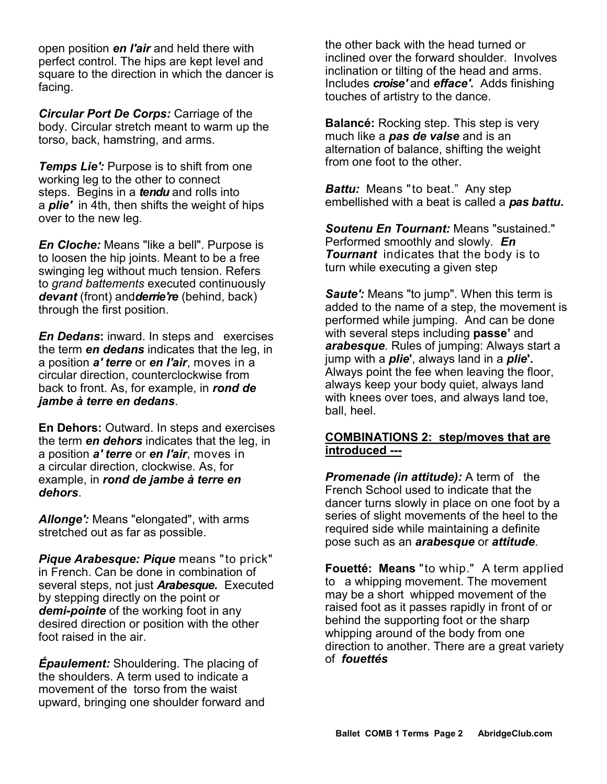open position *en l'air* and held there with perfect control. The hips are kept level and square to the direction in which the dancer is facing.

*Circular Port De Corps:* Carriage of the body. Circular stretch meant to warm up the torso, back, hamstring, and arms.

*Temps Lie':* Purpose is to shift from one working leg to the other to connect steps. Begins in a *tendu* and rolls into a *plie'* in 4th, then shifts the weight of hips over to the new leg.

*En Cloche:* Means "like a bell". Purpose is to loosen the hip joints. Meant to be a free swinging leg without much tension. Refers to *grand battements* executed continuously *devant* (front) and*derrie're* (behind, back) through the first position.

*En Dedans***:** inward. In steps and exercises the term *en dedans* indicates that the leg, in a position *a' terre* or *en l'air*, moves in a circular direction, counterclockwise from back to front. As, for example, in *rond de jambe à terre en dedans*.

**En Dehors:** Outward. In steps and exercises the term *en dehors* indicates that the leg, in a position *a' terre* or *en l'air*, moves in a circular direction, clockwise. As, for example, in *rond de jambe à terre en dehors*.

*Allonge':* Means "elongated", with arms stretched out as far as possible.

*Pique Arabesque: Pique* means "to prick" in French. Can be done in combination of several steps, not just *Arabesque.* Executed by stepping directly on the point or *demi-pointe* of the working foot in any desired direction or position with the other foot raised in the air.

*[Épaulement:](http://www.google.com/url?sa=t&rct=j&q=&esrc=s&source=web&cd=3&sqi=2&ved=0CDAQFjAC&url=http%3A%2F%2Fwww.abt.org%2Feducation%2Fdictionary%2Fterms%2Fabilities.html&ei=dqkXVevIF8y6ogTo8oKgCg&usg=AFQjCNGQM2q29TJDhVSQsyutRr_KLgcW1w&bvm=bv.89381419,d.cGU)* Shouldering. The placing of the shoulders. A term used to indicate a movement of the torso from the waist upward, bringing one shoulder forward and the other back with the head turned or inclined over the forward shoulder. Involves inclination or tilting of the head and arms. Includes *croise'* and *efface'***.** Adds finishing touches of artistry to the dance.

**[Balancé:](http://dancers.invisionzone.com/index.php?showtopic=50338)** Rocking step. This step is very much like a *pas de valse* and is an alternation of balance, shifting the weight from one foot to the other.

*Battu:* Means "to beat." Any step embellished with a beat is called a *pas battu***.**

*Soutenu En Tournant:* Means "sustained." Performed smoothly and slowly. *En Tournant* indicates that the body is to turn while executing a given step

*Saute':* Means "to jump". When this term is added to the name of a step, the movement is performed while jumping. And can be done with several steps including **passe'** and *arabesque.* Rules of jumping: Always start a jump with a *plie***'**, always land in a *plie***'.** Always point the fee when leaving the floor, always keep your body quiet, always land with knees over toes, and always land toe, ball, heel.

#### **COMBINATIONS 2: step/moves that are introduced ---**

**Promenade (in attitude):** A term of the French School used to indicate that the dancer turns slowly in place on one foot by a series of slight movements of the heel to the required side while maintaining a definite pose such as an *arabesque* or *attitude*.

**[Fouetté:](http://ballethub.com/ballet-term/fouette-turns/) Means** "to whip." A term applied to a whipping movement. The movement may be a short whipped movement of the raised foot as it passes rapidly in front of or behind the supporting foot or the sharp whipping around of the body from one direction to another. There are a great variety of *fouettés*